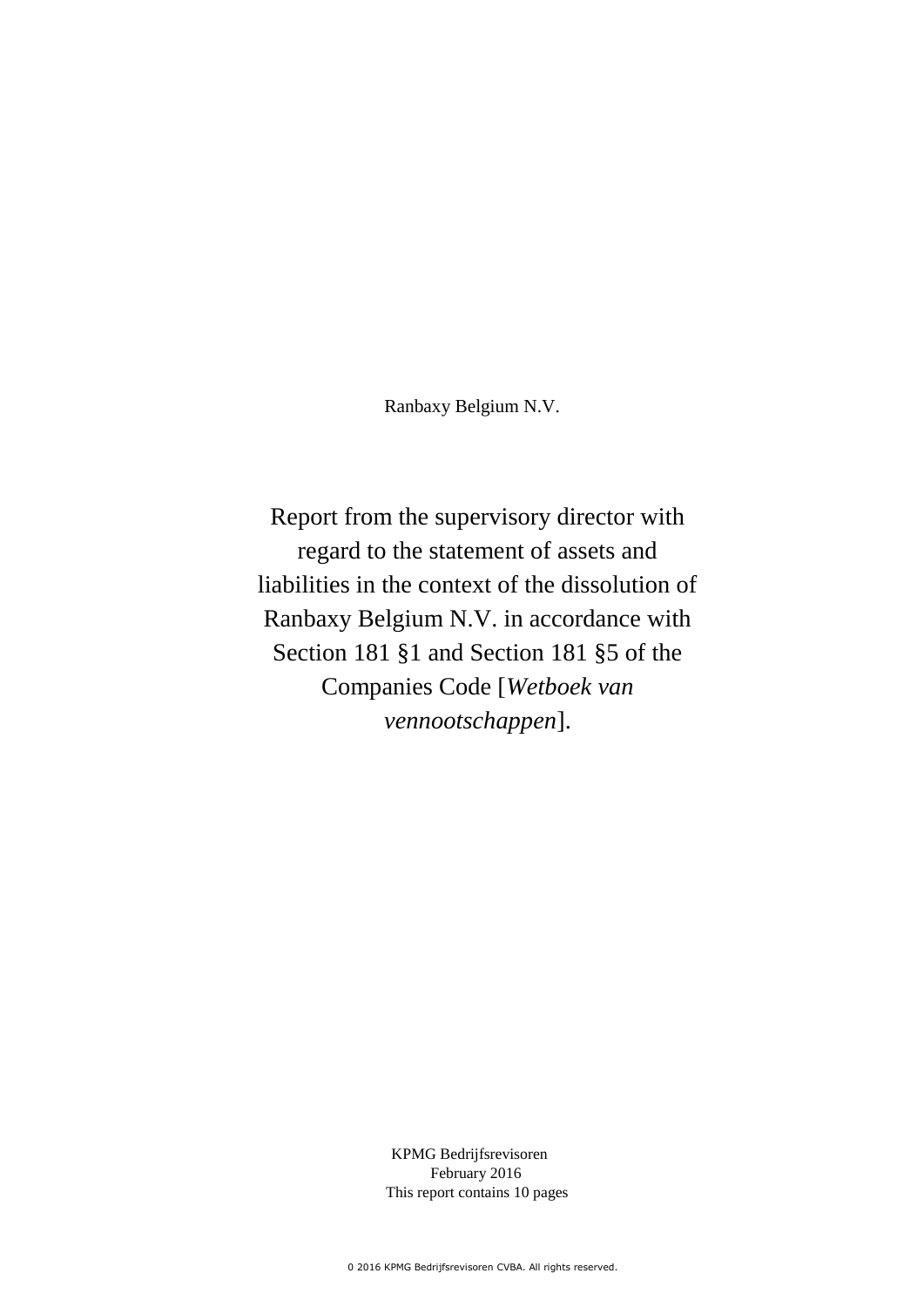Ranbaxy Belgium N.V.

Report from the supervisory director with regard to the statement of assets and liabilities in the context of the dissolution of Ranbaxy Belgium N.V. in accordance with Section 181 §1 and Section 181 §5 of the Companies Code [*Wetboek van vennootschappen*].

> KPMG Bedrijfsrevisoren February 2016 This report contains 10 pages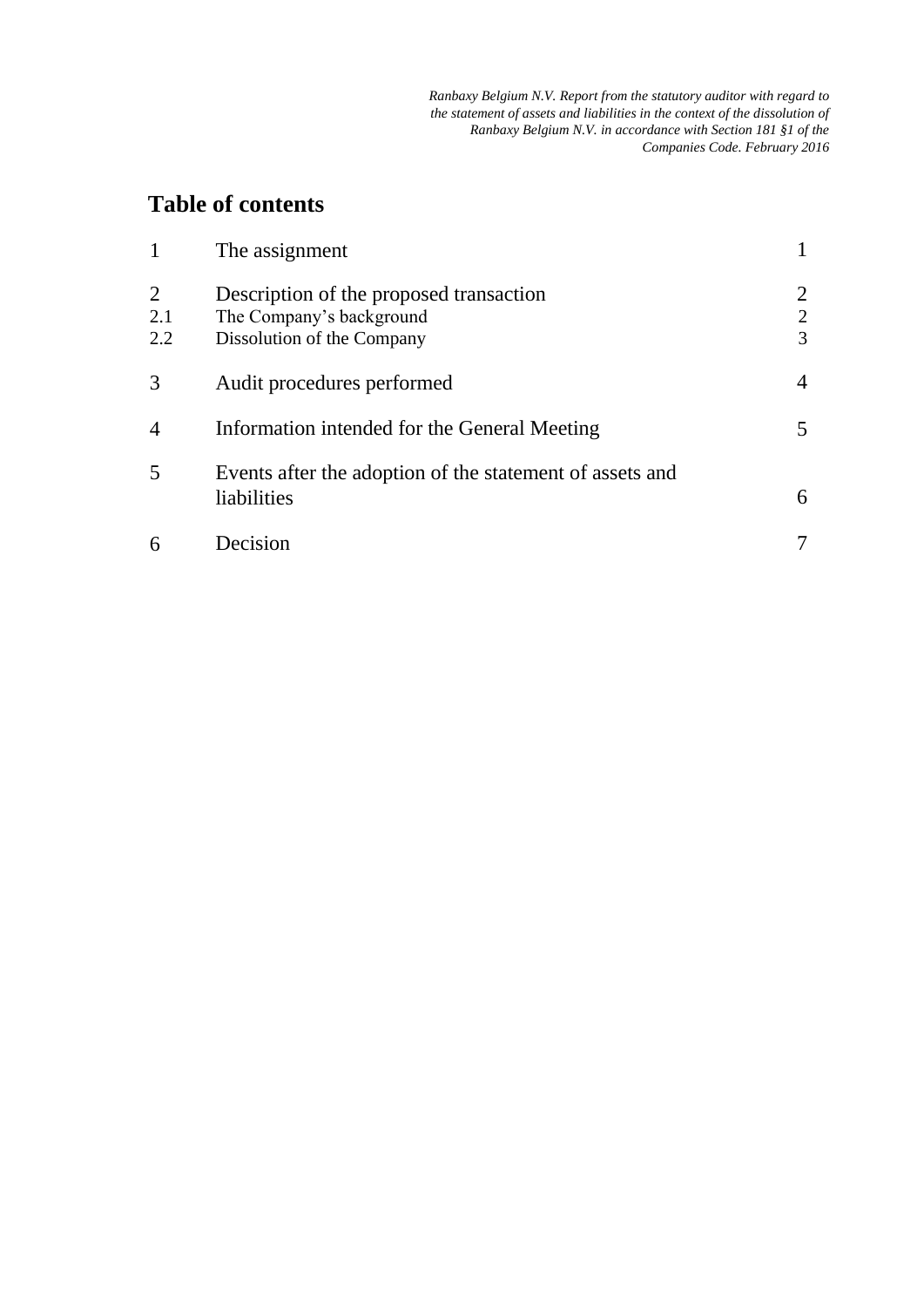# **Table of contents**

| 1               | The assignment                                                                                    |                          |
|-----------------|---------------------------------------------------------------------------------------------------|--------------------------|
| 2<br>2.1<br>2.2 | Description of the proposed transaction<br>The Company's background<br>Dissolution of the Company | $\overline{2}$<br>2<br>3 |
| 3               | Audit procedures performed                                                                        | 4                        |
| 4               | Information intended for the General Meeting                                                      | 5                        |
| 5               | Events after the adoption of the statement of assets and<br>liabilities                           | 6                        |
| 6               | Decision                                                                                          |                          |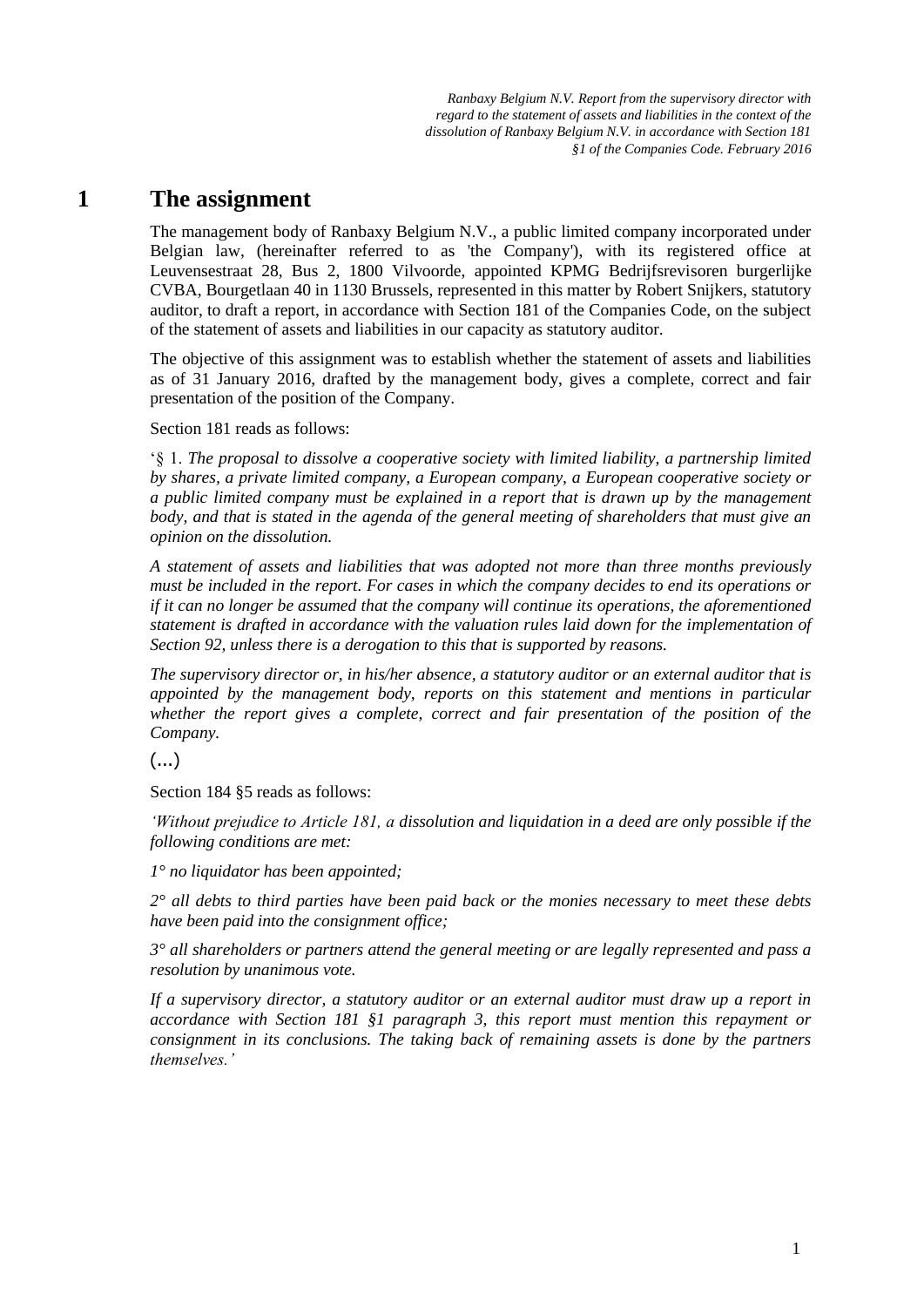### **1 The assignment**

The management body of Ranbaxy Belgium N.V., a public limited company incorporated under Belgian law, (hereinafter referred to as 'the Company'), with its registered office at Leuvensestraat 28, Bus 2, 1800 Vilvoorde, appointed KPMG Bedrijfsrevisoren burgerlijke CVBA, Bourgetlaan 40 in 1130 Brussels, represented in this matter by Robert Snijkers, statutory auditor, to draft a report, in accordance with Section 181 of the Companies Code, on the subject of the statement of assets and liabilities in our capacity as statutory auditor.

The objective of this assignment was to establish whether the statement of assets and liabilities as of 31 January 2016, drafted by the management body, gives a complete, correct and fair presentation of the position of the Company.

Section 181 reads as follows:

'§ 1. *The proposal to dissolve a cooperative society with limited liability, a partnership limited by shares, a private limited company, a European company, a European cooperative society or a public limited company must be explained in a report that is drawn up by the management body, and that is stated in the agenda of the general meeting of shareholders that must give an opinion on the dissolution.*

*A statement of assets and liabilities that was adopted not more than three months previously must be included in the report. For cases in which the company decides to end its operations or if it can no longer be assumed that the company will continue its operations, the aforementioned statement is drafted in accordance with the valuation rules laid down for the implementation of Section 92, unless there is a derogation to this that is supported by reasons.*

*The supervisory director or, in his/her absence, a statutory auditor or an external auditor that is appointed by the management body, reports on this statement and mentions in particular whether the report gives a complete, correct and fair presentation of the position of the Company.*

(...)

Section 184 §5 reads as follows:

*'Without prejudice to Article 181, a dissolution and liquidation in a deed are only possible if the following conditions are met:*

*1° no liquidator has been appointed;*

*2° all debts to third parties have been paid back or the monies necessary to meet these debts have been paid into the consignment office;*

*3° all shareholders or partners attend the general meeting or are legally represented and pass a resolution by unanimous vote.*

*If a supervisory director, a statutory auditor or an external auditor must draw up a report in accordance with Section 181 §1 paragraph 3, this report must mention this repayment or consignment in its conclusions. The taking back of remaining assets is done by the partners themselves.'*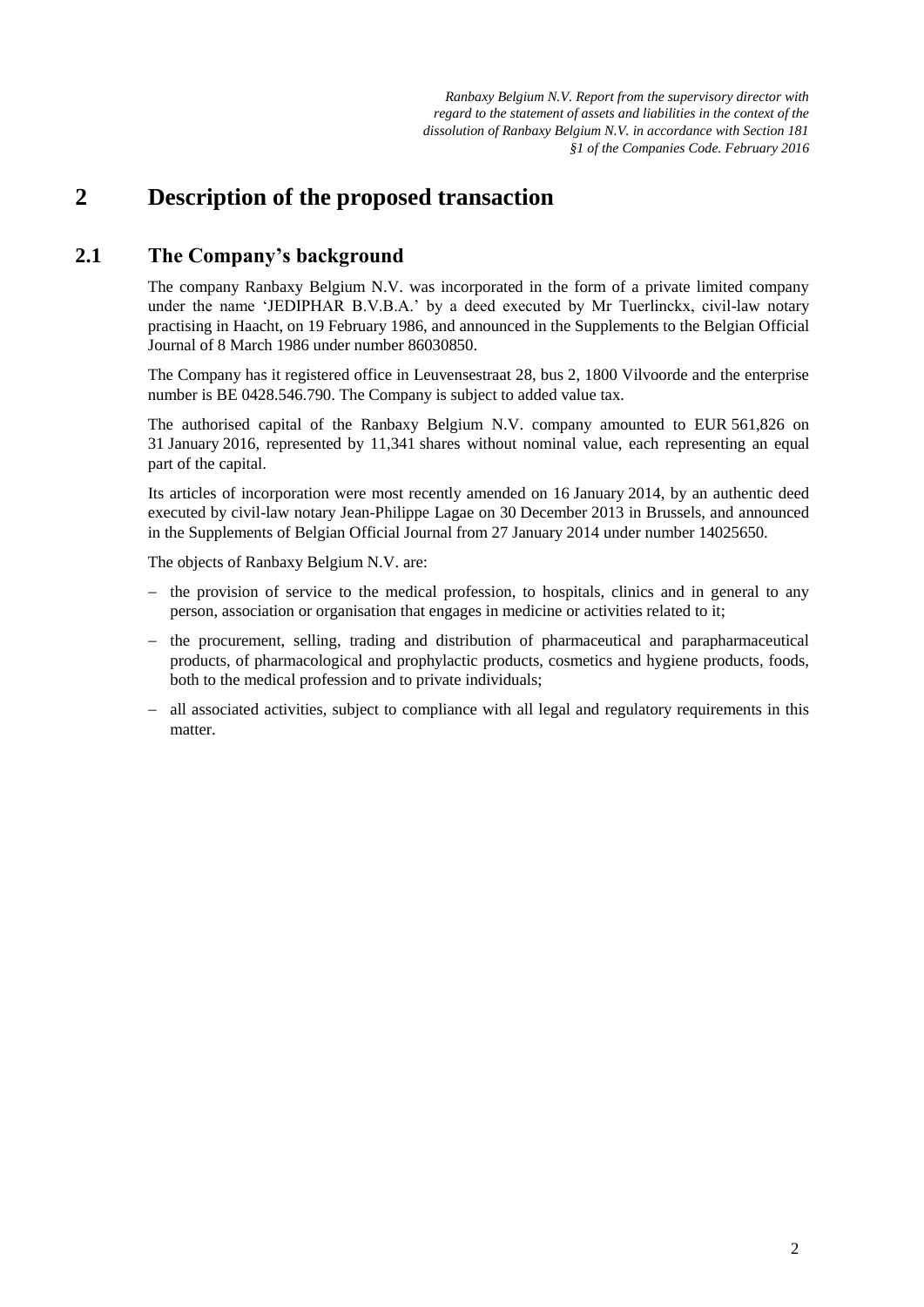### **2 Description of the proposed transaction**

#### **2.1 The Company's background**

The company Ranbaxy Belgium N.V. was incorporated in the form of a private limited company under the name 'JEDIPHAR B.V.B.A.' by a deed executed by Mr Tuerlinckx, civil-law notary practising in Haacht, on 19 February 1986, and announced in the Supplements to the Belgian Official Journal of 8 March 1986 under number 86030850.

The Company has it registered office in Leuvensestraat 28, bus 2, 1800 Vilvoorde and the enterprise number is BE 0428.546.790. The Company is subject to added value tax.

The authorised capital of the Ranbaxy Belgium N.V. company amounted to EUR 561,826 on 31 January 2016, represented by 11,341 shares without nominal value, each representing an equal part of the capital.

Its articles of incorporation were most recently amended on 16 January 2014, by an authentic deed executed by civil-law notary Jean-Philippe Lagae on 30 December 2013 in Brussels, and announced in the Supplements of Belgian Official Journal from 27 January 2014 under number 14025650.

The objects of Ranbaxy Belgium N.V. are:

- $-$  the provision of service to the medical profession, to hospitals, clinics and in general to any person, association or organisation that engages in medicine or activities related to it;
- the procurement, selling, trading and distribution of pharmaceutical and parapharmaceutical products, of pharmacological and prophylactic products, cosmetics and hygiene products, foods, both to the medical profession and to private individuals;
- all associated activities, subject to compliance with all legal and regulatory requirements in this matter.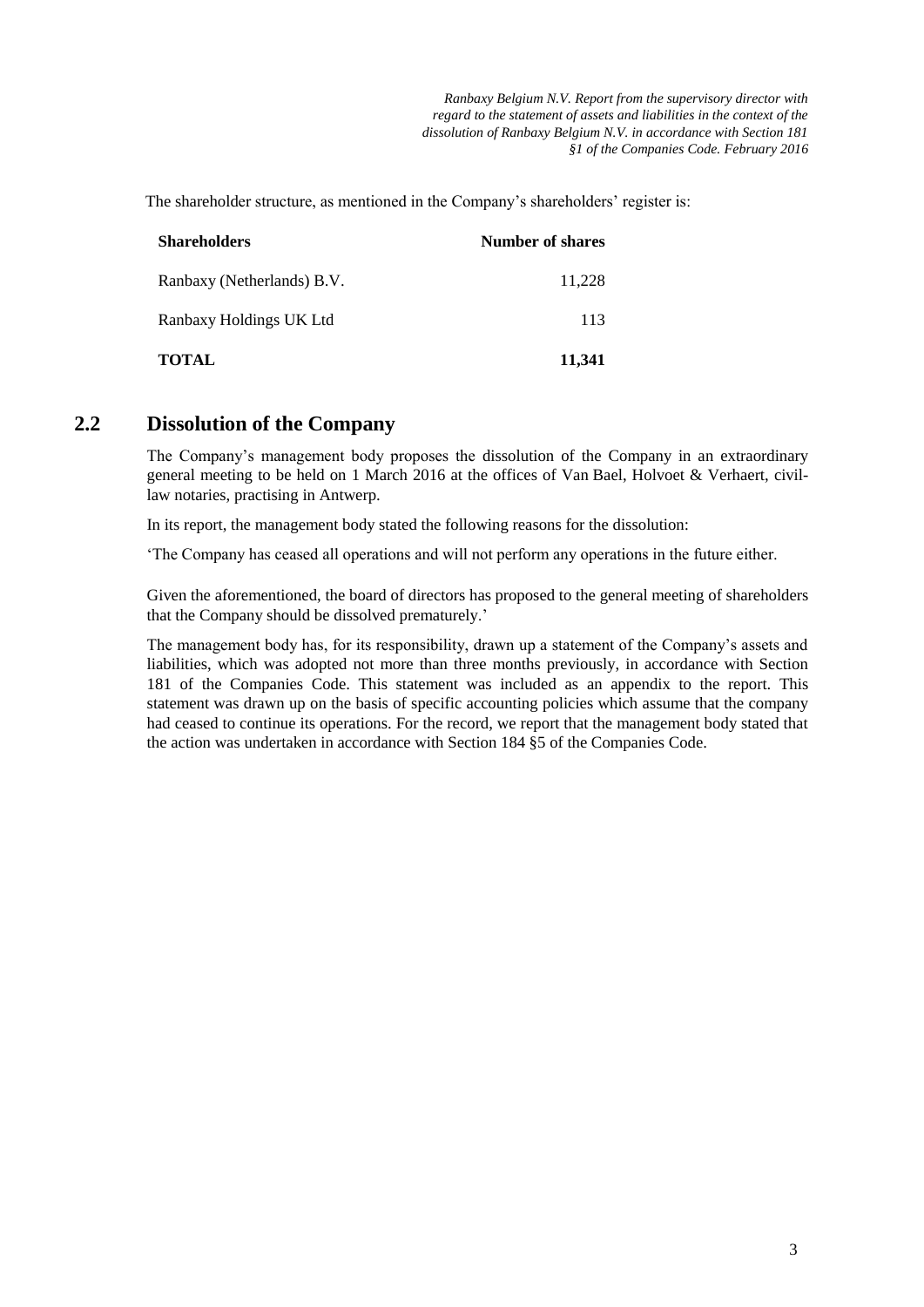The shareholder structure, as mentioned in the Company's shareholders' register is:

| <b>Shareholders</b>        | <b>Number of shares</b> |
|----------------------------|-------------------------|
| Ranbaxy (Netherlands) B.V. | 11,228                  |
| Ranbaxy Holdings UK Ltd    | 113                     |
| <b>TOTAL</b>               | 11,341                  |

#### **2.2 Dissolution of the Company**

The Company's management body proposes the dissolution of the Company in an extraordinary general meeting to be held on 1 March 2016 at the offices of Van Bael, Holvoet & Verhaert, civillaw notaries, practising in Antwerp.

In its report, the management body stated the following reasons for the dissolution:

'The Company has ceased all operations and will not perform any operations in the future either.

Given the aforementioned, the board of directors has proposed to the general meeting of shareholders that the Company should be dissolved prematurely.'

The management body has, for its responsibility, drawn up a statement of the Company's assets and liabilities, which was adopted not more than three months previously, in accordance with Section 181 of the Companies Code. This statement was included as an appendix to the report. This statement was drawn up on the basis of specific accounting policies which assume that the company had ceased to continue its operations. For the record, we report that the management body stated that the action was undertaken in accordance with Section 184 §5 of the Companies Code.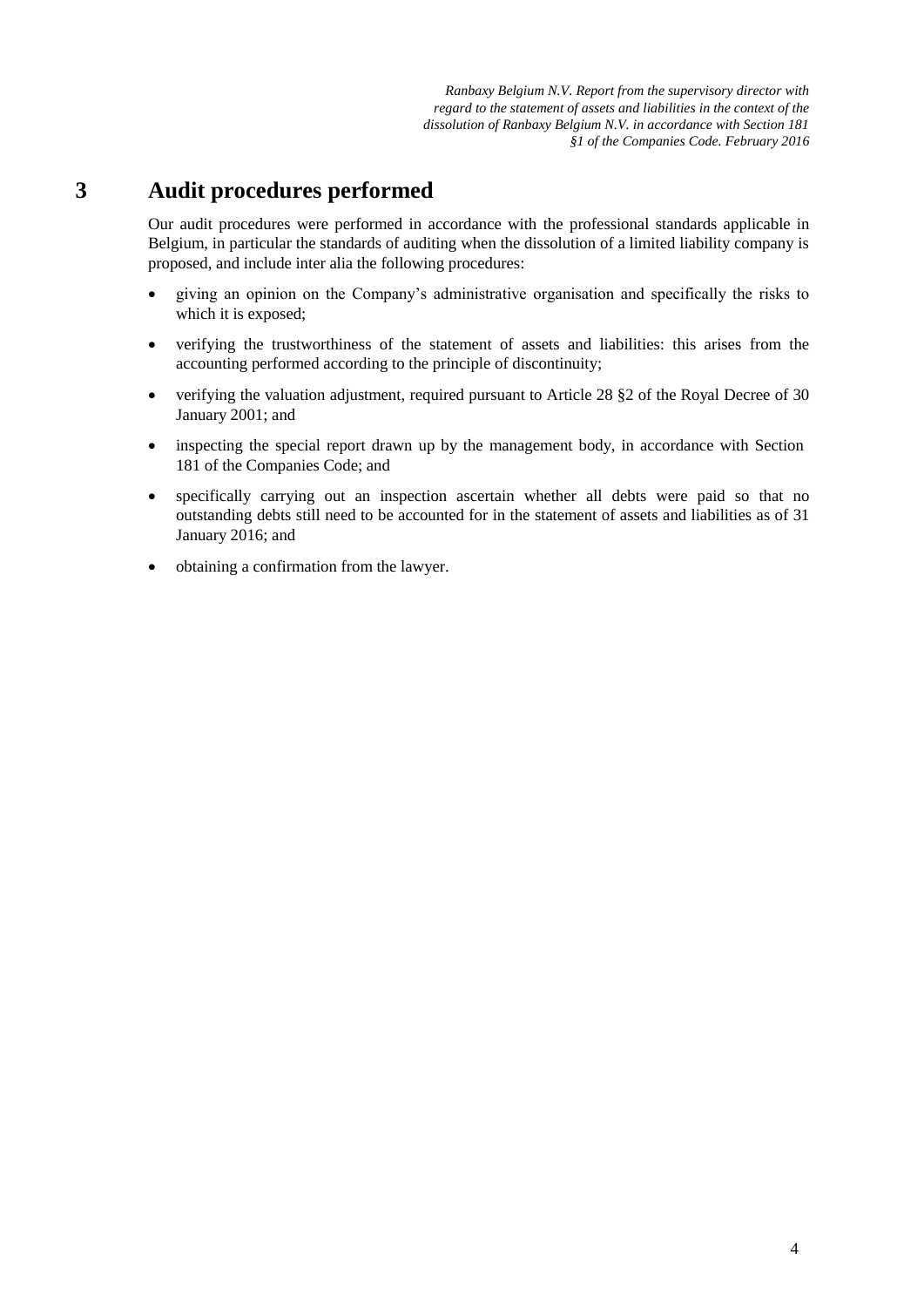#### **3 Audit procedures performed**

Our audit procedures were performed in accordance with the professional standards applicable in Belgium, in particular the standards of auditing when the dissolution of a limited liability company is proposed, and include inter alia the following procedures:

- giving an opinion on the Company's administrative organisation and specifically the risks to which it is exposed;
- verifying the trustworthiness of the statement of assets and liabilities: this arises from the accounting performed according to the principle of discontinuity;
- verifying the valuation adjustment, required pursuant to Article 28 §2 of the Royal Decree of 30 January 2001; and
- inspecting the special report drawn up by the management body, in accordance with Section 181 of the Companies Code; and
- specifically carrying out an inspection ascertain whether all debts were paid so that no outstanding debts still need to be accounted for in the statement of assets and liabilities as of 31 January 2016; and
- obtaining a confirmation from the lawyer.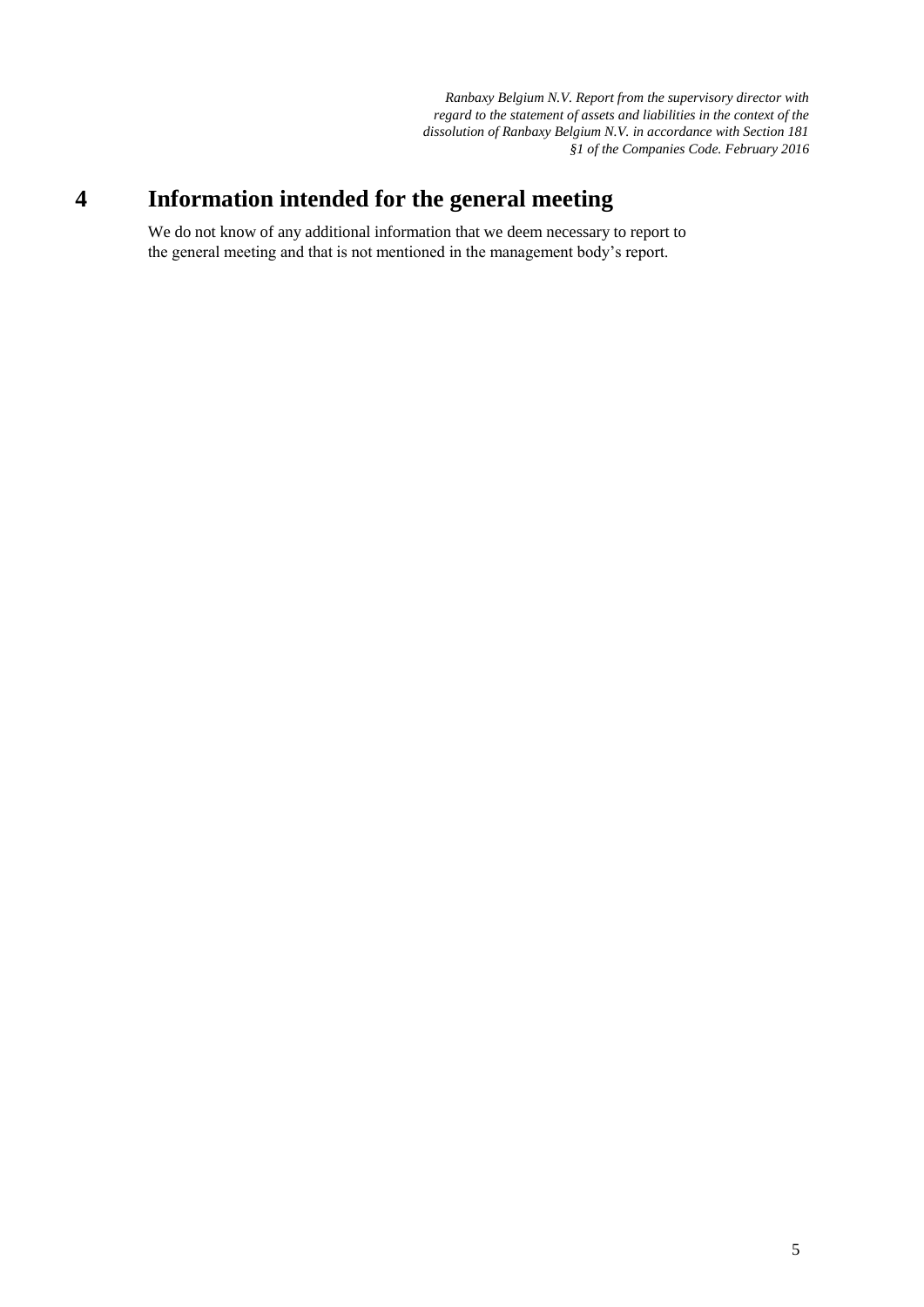# **4 Information intended for the general meeting**

We do not know of any additional information that we deem necessary to report to the general meeting and that is not mentioned in the management body's report.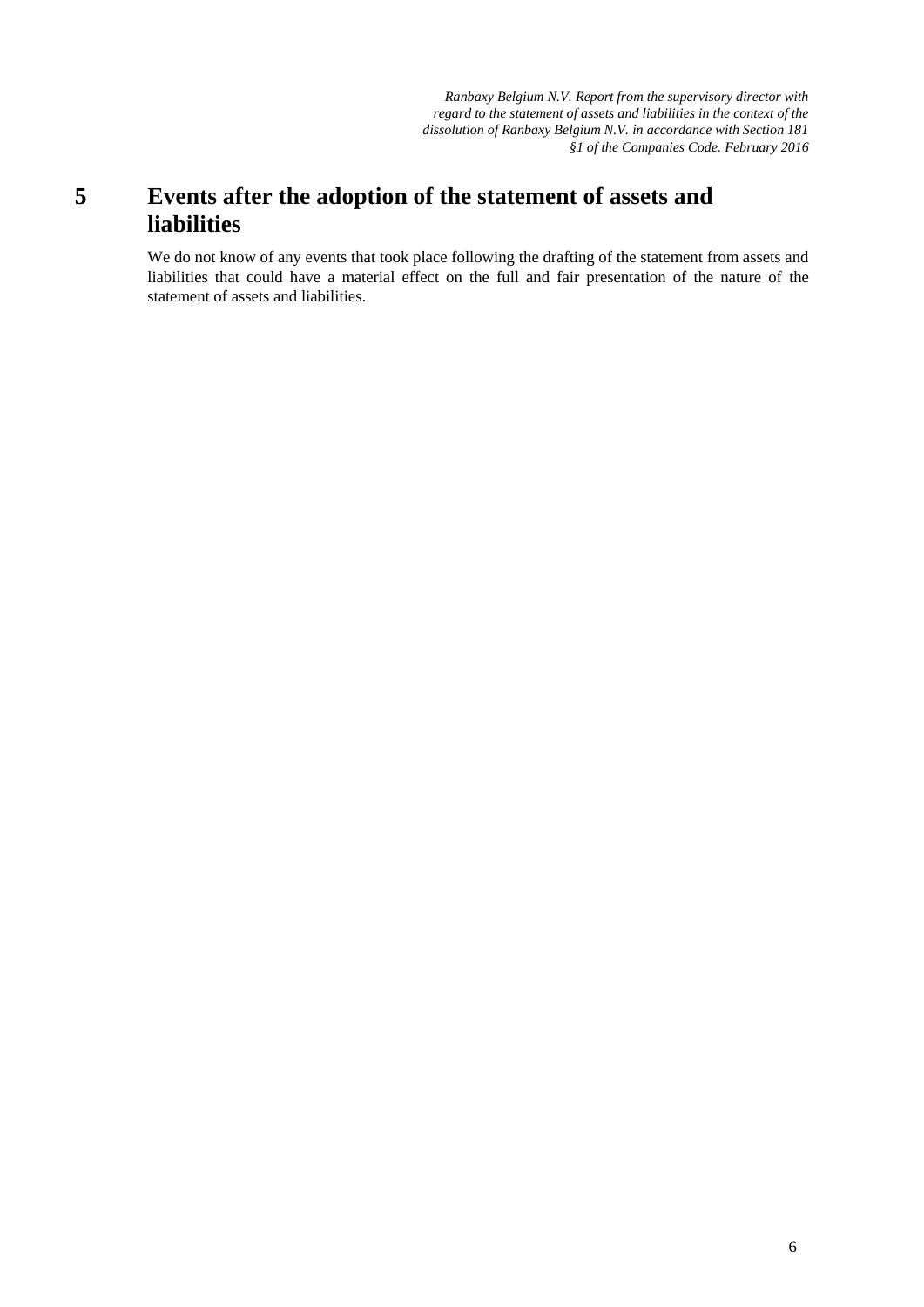### **5 Events after the adoption of the statement of assets and liabilities**

We do not know of any events that took place following the drafting of the statement from assets and liabilities that could have a material effect on the full and fair presentation of the nature of the statement of assets and liabilities.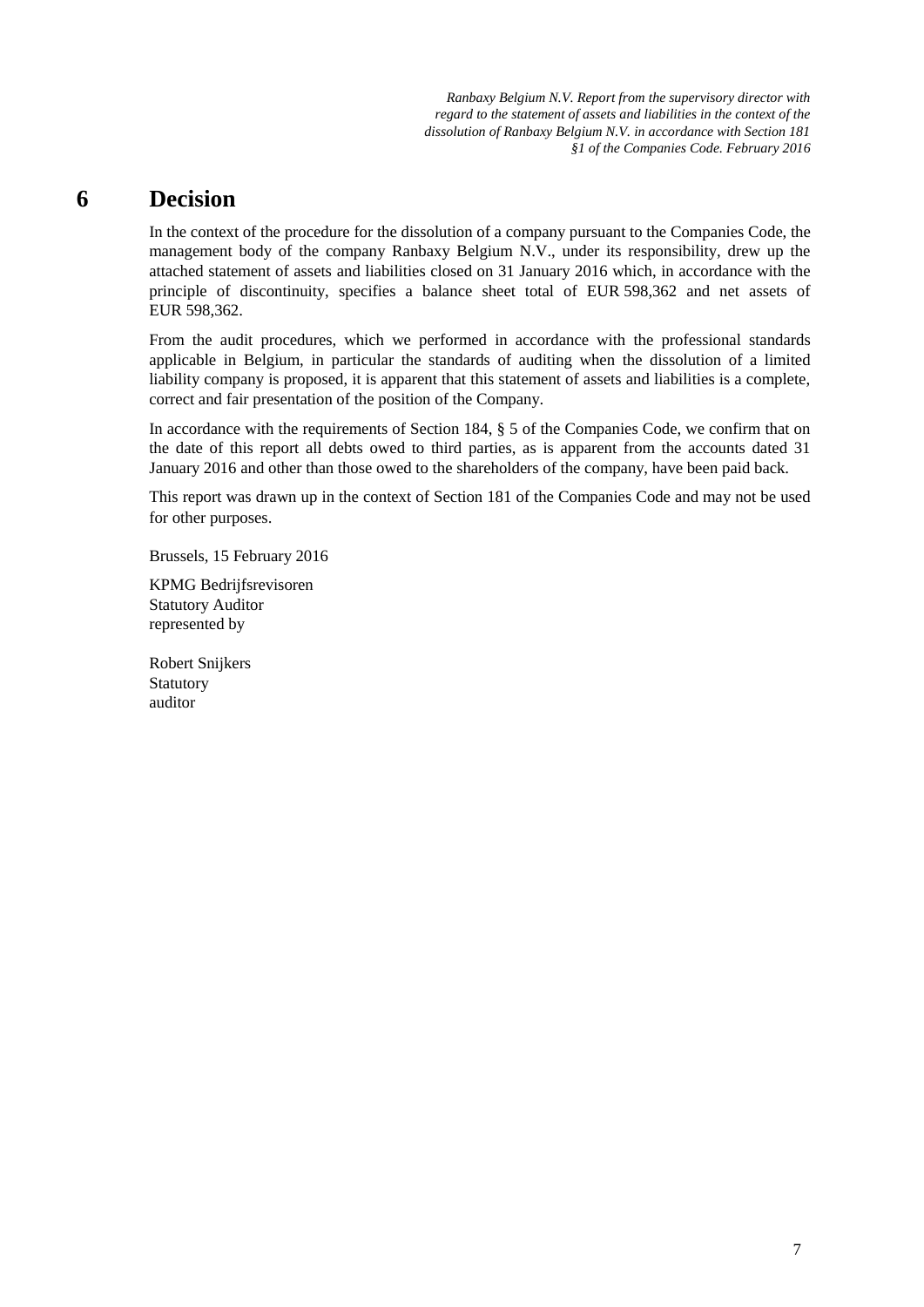### **6 Decision**

In the context of the procedure for the dissolution of a company pursuant to the Companies Code, the management body of the company Ranbaxy Belgium N.V., under its responsibility, drew up the attached statement of assets and liabilities closed on 31 January 2016 which, in accordance with the principle of discontinuity, specifies a balance sheet total of EUR 598,362 and net assets of EUR 598,362.

From the audit procedures, which we performed in accordance with the professional standards applicable in Belgium, in particular the standards of auditing when the dissolution of a limited liability company is proposed, it is apparent that this statement of assets and liabilities is a complete, correct and fair presentation of the position of the Company.

In accordance with the requirements of Section 184, § 5 of the Companies Code, we confirm that on the date of this report all debts owed to third parties, as is apparent from the accounts dated 31 January 2016 and other than those owed to the shareholders of the company, have been paid back.

This report was drawn up in the context of Section 181 of the Companies Code and may not be used for other purposes.

Brussels, 15 February 2016

KPMG Bedrijfsrevisoren Statutory Auditor represented by

Robert Snijkers Statutory auditor